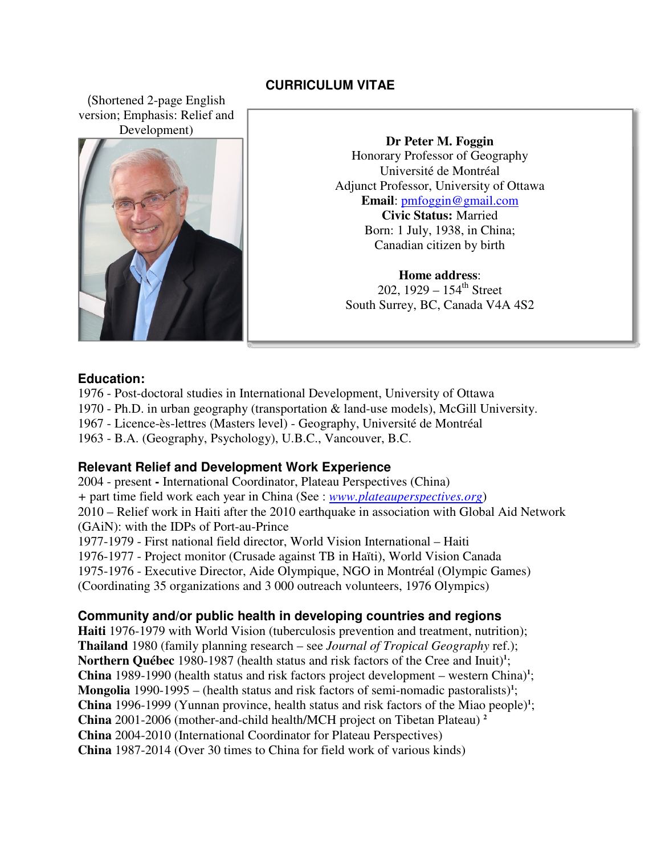# **CURRICULUM VITAE**

(Shortened 2-page English version; Emphasis: Relief and Development)



**Dr Peter M. Foggin**  Honorary Professor of Geography Université de Montréal Adjunct Professor, University of Ottawa **Email**: pmfoggin@gmail.com **Civic Status:** Married Born: 1 July, 1938, in China; Canadian citizen by birth

**Home address**: 202, 1929 –  $154^{\text{th}}$  Street South Surrey, BC, Canada V4A 4S2

### **Education:**

1976 - Post-doctoral studies in International Development, University of Ottawa 1970 - Ph.D. in urban geography (transportation & land-use models), McGill University. 1967 - Licence-ès-lettres (Masters level) - Geography, Université de Montréal 1963 - B.A. (Geography, Psychology), U.B.C., Vancouver, B.C.

## **Relevant Relief and Development Work Experience**

2004 - present **-** International Coordinator, Plateau Perspectives (China) *+* part time field work each year in China (See : *www.plateauperspectives.org*) 2010 – Relief work in Haiti after the 2010 earthquake in association with Global Aid Network (GAiN): with the IDPs of Port-au-Prince 1977-1979 - First national field director, World Vision International – Haiti 1976-1977 - Project monitor (Crusade against TB in Haïti), World Vision Canada 1975-1976 - Executive Director, Aide Olympique, NGO in Montréal (Olympic Games) (Coordinating 35 organizations and 3 000 outreach volunteers, 1976 Olympics)

## **Community and/or public health in developing countries and regions**

**Haiti** 1976-1979 with World Vision (tuberculosis prevention and treatment, nutrition); **Thailand** 1980 (family planning research – see *Journal of Tropical Geography* ref.); Northern Québec 1980-1987 (health status and risk factors of the Cree and Inuit)<sup>1</sup>; **China** 1989-1990 (health status and risk factors project development – western China)**<sup>1</sup>** ; **Mongolia** 1990-1995 – (health status and risk factors of semi-nomadic pastoralists)**<sup>1</sup>** ; China 1996-1999 (Yunnan province, health status and risk factors of the Miao people)<sup>1</sup>; **China** 2001-2006 (mother-and-child health/MCH project on Tibetan Plateau) **<sup>2</sup> China** 2004-2010 (International Coordinator for Plateau Perspectives) **China** 1987-2014 (Over 30 times to China for field work of various kinds)